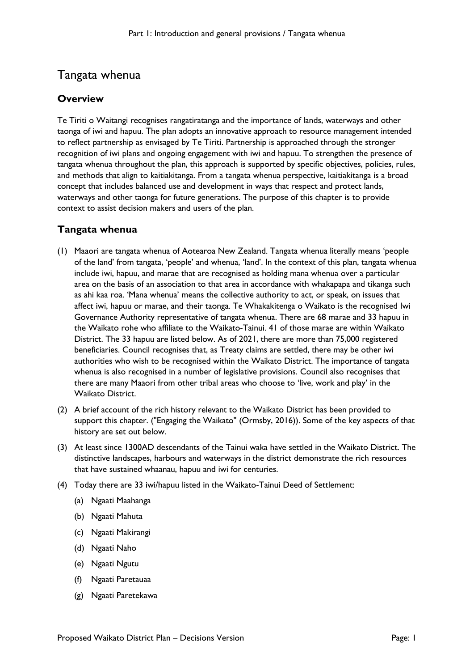# Tangata whenua

## **Overview**

Te Tiriti o Waitangi recognises rangatiratanga and the importance of lands, waterways and other taonga of iwi and hapuu. The plan adopts an innovative approach to resource management intended to reflect partnership as envisaged by Te Tiriti. Partnership is approached through the stronger recognition of iwi plans and ongoing engagement with iwi and hapuu. To strengthen the presence of tangata whenua throughout the plan, this approach is supported by specific objectives, policies, rules, and methods that align to kaitiakitanga. From a tangata whenua perspective, kaitiakitanga is a broad concept that includes balanced use and development in ways that respect and protect lands, waterways and other taonga for future generations. The purpose of this chapter is to provide context to assist decision makers and users of the plan.

# **Tangata whenua**

- (1) Maaori are tangata whenua of Aotearoa New Zealand. Tangata whenua literally means 'people of the land' from tangata, 'people' and whenua, 'land'. In the context of this plan, tangata whenua include iwi, hapuu, and marae that are recognised as holding mana whenua over a particular area on the basis of an association to that area in accordance with whakapapa and tikanga such as ahi kaa roa. 'Mana whenua' means the collective authority to act, or speak, on issues that affect iwi, hapuu or marae, and their taonga. Te Whakakitenga o Waikato is the recognised Iwi Governance Authority representative of tangata whenua. There are 68 marae and 33 hapuu in the Waikato rohe who affiliate to the Waikato-Tainui. 41 of those marae are within Waikato District. The 33 hapuu are listed below. As of 2021, there are more than 75,000 registered beneficiaries. Council recognises that, as Treaty claims are settled, there may be other iwi authorities who wish to be recognised within the Waikato District. The importance of tangata whenua is also recognised in a number of legislative provisions. Council also recognises that there are many Maaori from other tribal areas who choose to 'live, work and play' in the Waikato District.
- (2) A brief account of the rich history relevant to the Waikato District has been provided to support this chapter. ("Engaging the Waikato" (Ormsby, 2016)). Some of the key aspects of that history are set out below.
- (3) At least since 1300AD descendants of the Tainui waka have settled in the Waikato District. The distinctive landscapes, harbours and waterways in the district demonstrate the rich resources that have sustained whaanau, hapuu and iwi for centuries.
- (4) Today there are 33 iwi/hapuu listed in the Waikato-Tainui Deed of Settlement:
	- (a) Ngaati Maahanga
	- (b) Ngaati Mahuta
	- (c) Ngaati Makirangi
	- (d) Ngaati Naho
	- (e) Ngaati Ngutu
	- (f) Ngaati Paretauaa
	- (g) Ngaati Paretekawa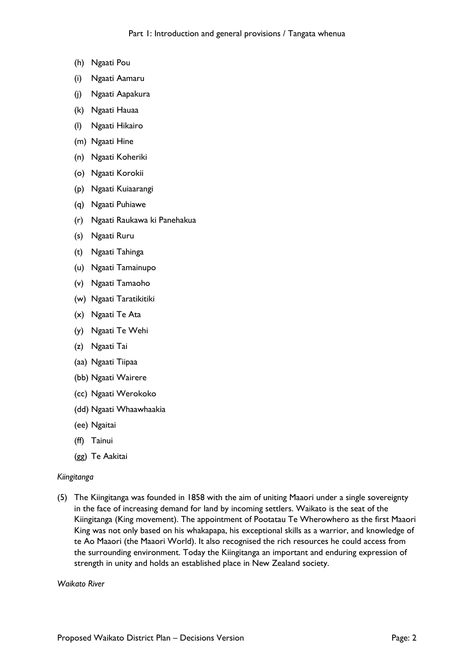- (h) Ngaati Pou
- (i) Ngaati Aamaru
- (j) Ngaati Aapakura
- (k) Ngaati Hauaa
- (l) Ngaati Hikairo
- (m) Ngaati Hine
- (n) Ngaati Koheriki
- (o) Ngaati Korokii
- (p) Ngaati Kuiaarangi
- (q) Ngaati Puhiawe
- (r) Ngaati Raukawa ki Panehakua
- (s) Ngaati Ruru
- (t) Ngaati Tahinga
- (u) Ngaati Tamainupo
- (v) Ngaati Tamaoho
- (w) Ngaati Taratikitiki
- (x) Ngaati Te Ata
- (y) Ngaati Te Wehi
- (z) Ngaati Tai
- (aa) Ngaati Tiipaa
- (bb) Ngaati Wairere
- (cc) Ngaati Werokoko
- (dd) Ngaati Whaawhaakia
- (ee) Ngaitai
- (ff) Tainui
- (gg) Te Aakitai

#### *Kiingitanga*

(5) The Kiingitanga was founded in 1858 with the aim of uniting Maaori under a single sovereignty in the face of increasing demand for land by incoming settlers. Waikato is the seat of the Kiingitanga (King movement). The appointment of Pootatau Te Wherowhero as the first Maaori King was not only based on his whakapapa, his exceptional skills as a warrior, and knowledge of te Ao Maaori (the Maaori World). It also recognised the rich resources he could access from the surrounding environment. Today the Kiingitanga an important and enduring expression of strength in unity and holds an established place in New Zealand society.

#### *Waikato River*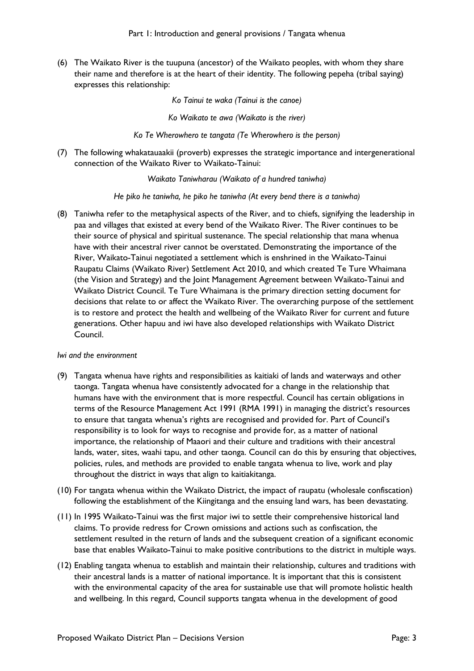(6) The Waikato River is the tuupuna (ancestor) of the Waikato peoples, with whom they share their name and therefore is at the heart of their identity. The following pepeha (tribal saying) expresses this relationship:

*Ko Tainui te waka (Tainui is the canoe)*

*Ko Waikato te awa (Waikato is the river)*

*Ko Te Wherowhero te tangata (Te Wherowhero is the person)*

(7) The following whakatauaakii (proverb) expresses the strategic importance and intergenerational connection of the Waikato River to Waikato-Tainui:

*Waikato Taniwharau (Waikato of a hundred taniwha)*

*He piko he taniwha, he piko he taniwha (At every bend there is a taniwha)*

(8) Taniwha refer to the metaphysical aspects of the River, and to chiefs, signifying the leadership in paa and villages that existed at every bend of the Waikato River. The River continues to be their source of physical and spiritual sustenance. The special relationship that mana whenua have with their ancestral river cannot be overstated. Demonstrating the importance of the River, Waikato-Tainui negotiated a settlement which is enshrined in the Waikato-Tainui Raupatu Claims (Waikato River) Settlement Act 2010, and which created Te Ture Whaimana (the Vision and Strategy) and the Joint Management Agreement between Waikato-Tainui and Waikato District Council. Te Ture Whaimana is the primary direction setting document for decisions that relate to or affect the Waikato River. The overarching purpose of the settlement is to restore and protect the health and wellbeing of the Waikato River for current and future generations. Other hapuu and iwi have also developed relationships with Waikato District Council.

#### *Iwi and the environment*

- (9) Tangata whenua have rights and responsibilities as kaitiaki of lands and waterways and other taonga. Tangata whenua have consistently advocated for a change in the relationship that humans have with the environment that is more respectful. Council has certain obligations in terms of the Resource Management Act 1991 (RMA 1991) in managing the district's resources to ensure that tangata whenua's rights are recognised and provided for. Part of Council's responsibility is to look for ways to recognise and provide for, as a matter of national importance, the relationship of Maaori and their culture and traditions with their ancestral lands, water, sites, waahi tapu, and other taonga. Council can do this by ensuring that objectives, policies, rules, and methods are provided to enable tangata whenua to live, work and play throughout the district in ways that align to kaitiakitanga.
- (10) For tangata whenua within the Waikato District, the impact of raupatu (wholesale confiscation) following the establishment of the Kiingitanga and the ensuing land wars, has been devastating.
- (11) In 1995 Waikato-Tainui was the first major iwi to settle their comprehensive historical land claims. To provide redress for Crown omissions and actions such as confiscation, the settlement resulted in the return of lands and the subsequent creation of a significant economic base that enables Waikato-Tainui to make positive contributions to the district in multiple ways.
- (12) Enabling tangata whenua to establish and maintain their relationship, cultures and traditions with their ancestral lands is a matter of national importance. It is important that this is consistent with the environmental capacity of the area for sustainable use that will promote holistic health and wellbeing. In this regard, Council supports tangata whenua in the development of good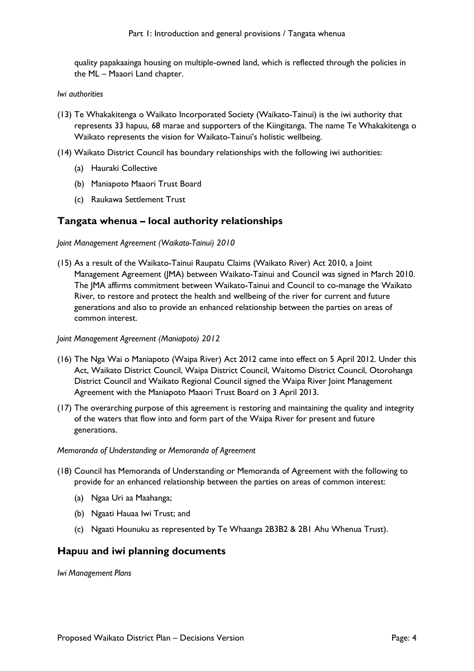quality papakaainga housing on multiple-owned land, which is reflected through the policies in the ML – Maaori Land chapter.

#### *Iwi authorities*

- (13) Te Whakakitenga o Waikato Incorporated Society (Waikato-Tainui) is the iwi authority that represents 33 hapuu, 68 marae and supporters of the Kiingitanga. The name Te Whakakitenga o Waikato represents the vision for Waikato-Tainui's holistic wellbeing.
- (14) Waikato District Council has boundary relationships with the following iwi authorities:
	- (a) Hauraki Collective
	- (b) Maniapoto Maaori Trust Board
	- (c) Raukawa Settlement Trust

### **Tangata whenua – local authority relationships**

*Joint Management Agreement (Waikato-Tainui) 2010*

- (15) As a result of the Waikato-Tainui Raupatu Claims (Waikato River) Act 2010, a Joint Management Agreement (JMA) between Waikato-Tainui and Council was signed in March 2010. The JMA affirms commitment between Waikato-Tainui and Council to co-manage the Waikato River, to restore and protect the health and wellbeing of the river for current and future generations and also to provide an enhanced relationship between the parties on areas of common interest.
- *Joint Management Agreement (Maniapoto) 2012*
- (16) The Nga Wai o Maniapoto (Waipa River) Act 2012 came into effect on 5 April 2012. Under this Act, Waikato District Council, Waipa District Council, Waitomo District Council, Otorohanga District Council and Waikato Regional Council signed the Waipa River Joint Management Agreement with the Maniapoto Maaori Trust Board on 3 April 2013.
- (17) The overarching purpose of this agreement is restoring and maintaining the quality and integrity of the waters that flow into and form part of the Waipa River for present and future generations.

#### *Memoranda of Understanding or Memoranda of Agreement*

- (18) Council has Memoranda of Understanding or Memoranda of Agreement with the following to provide for an enhanced relationship between the parties on areas of common interest:
	- (a) Ngaa Uri aa Maahanga;
	- (b) Ngaati Hauaa Iwi Trust; and
	- (c) Ngaati Hounuku as represented by Te Whaanga 2B3B2 & 2B1 Ahu Whenua Trust).

### **Hapuu and iwi planning documents**

*Iwi Management Plans*